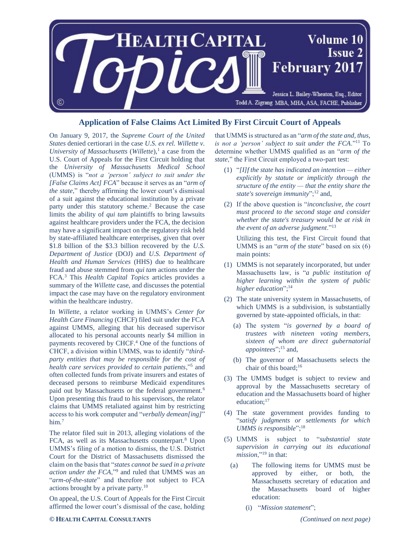

## **Application of False Claims Act Limited By First Circuit Court of Appeals**

On January 9, 2017, the *Supreme Court of the United States* denied certiorari in the case *U.S. ex rel. Willette v. University of Massachusetts* (*Willette*), 1 a case from the U.S. Court of Appeals for the First Circuit holding that the *University of Massachusetts Medical School* (UMMS) is "*not a 'person' subject to suit under the [False Claims Act] FCA*" because it serves as an "*arm of the state*," thereby affirming the lower court's dismissal of a suit against the educational institution by a private party under this statutory scheme.<sup>2</sup> Because the case limits the ability of *qui tam* plaintiffs to bring lawsuits against healthcare providers under the FCA, the decision may have a significant impact on the regulatory risk held by state-affiliated healthcare enterprises, given that over \$1.8 billion of the \$3.3 billion recovered by the *U.S. Department of Justice* (DOJ) and *U.S. Department of Health and Human Services* (HHS) due to healthcare fraud and abuse stemmed from *qui tam* actions under the FCA.<sup>3</sup> This *Health Capital Topics* articles provides a summary of the *Willette* case, and discusses the potential impact the case may have on the regulatory environment within the healthcare industry.

In *Willette*, a relator working in UMMS's *Center for Health Care Financing* (CHCF) filed suit under the FCA against UMMS, alleging that his deceased supervisor allocated to his personal accounts nearly \$4 million in payments recovered by CHCF.<sup>4</sup> One of the functions of CHCF, a division within UMMS, was to identify "*thirdparty entities that may be responsible for the cost of health care services provided to certain patients*,"<sup>5</sup> and often collected funds from private insurers and estates of deceased persons to reimburse Medicaid expenditures paid out by Massachusetts or the federal government.<sup>6</sup> Upon presenting this fraud to his supervisors, the relator claims that UMMS retaliated against him by restricting access to his work computer and "*verbally demean[ing]*" him.<sup>7</sup>

The relator filed suit in 2013, alleging violations of the FCA, as well as its Massachusetts counterpart.<sup>8</sup> Upon UMMS's filing of a motion to dismiss, the U.S. District Court for the District of Massachusetts dismissed the claim on the basis that "*states cannot be sued in a private action under the FCA*,"<sup>9</sup> and ruled that UMMS was an "*arm-of-the-state*" and therefore not subject to FCA actions brought by a private party.<sup>10</sup>

On appeal, the U.S. Court of Appeals for the First Circuit affirmed the lower court's dismissal of the case, holding

that UMMS is structured as an "*arm of the state and, thus, is not a 'person' subject to suit under the FCA*."<sup>11</sup> To determine whether UMMS qualified as an "*arm of the state*," the First Circuit employed a two-part test:

- (1) "*[I]f the state has indicated an intention — either explicitly by statute or implicitly through the structure of the entity — that the entity share the state's sovereign immunity*";<sup>12</sup> and,
- (2) If the above question is "*inconclusive, the court must proceed to the second stage and consider whether the state's treasury would be at risk in the event of an adverse judgment*."<sup>13</sup>

Utilizing this test, the First Circuit found that UMMS is an "*arm of the state*" based on six (6) main points:

- (1) UMMS is not separately incorporated, but under Massachusetts law, is "*a public institution of higher learning within the system of public higher education*";<sup>14</sup>
- (2) The state university system in Massachusetts, of which UMMS is a subdivision, is substantially governed by state-appointed officials, in that:
	- (a) The system "*is governed by a board of trustees with nineteen voting members, sixteen of whom are direct gubernatorial appointees*";<sup>15</sup> and,
	- (b) The governor of Massachusetts selects the chair of this board;<sup>16</sup>
- (3) The UMMS budget is subject to review and approval by the Massachusetts secretary of education and the Massachusetts board of higher education:<sup>17</sup>
- (4) The state government provides funding to "*satisfy judgments or settlements for which UMMS is responsible*";<sup>18</sup>
- (5) UMMS is subject to "*substantial state supervision in carrying out its educational mission*,"<sup>19</sup> in that:
	- (a) The following items for UMMS must be approved by either, or both, the Massachusetts secretary of education and the Massachusetts board of higher education:
		- (i) "*Mission statement*";

## **© HEALTH CAPITAL CONSULTANTS** *(Continued on next page)*